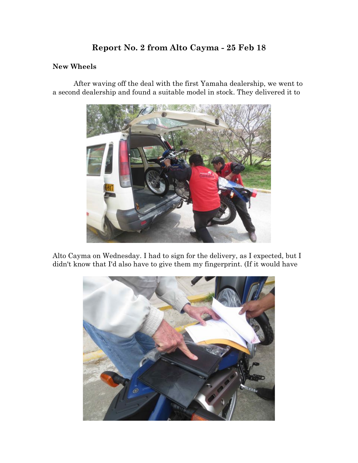# **Report No. 2 from Alto Cayma - 25 Feb 18**

## **New Wheels**

After waving off the deal with the first Yamaha dealership, we went to a second dealership and found a suitable model in stock. They delivered it to



Alto Cayma on Wednesday. I had to sign for the delivery, as I expected, but I didn't know that I'd also have to give them my fingerprint. (If it would have

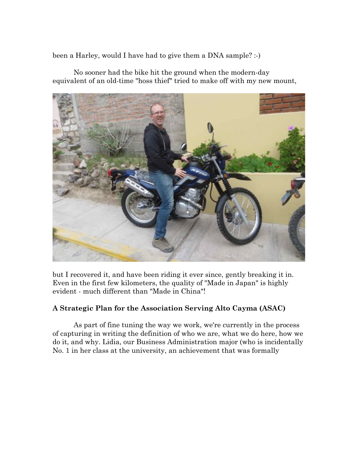been a Harley, would I have had to give them a DNA sample? :-)

No sooner had the bike hit the ground when the modern-day equivalent of an old-time "hoss thief" tried to make off with my new mount,



but I recovered it, and have been riding it ever since, gently breaking it in. Even in the first few kilometers, the quality of "Made in Japan" is highly evident - much different than "Made in China"!

## **A Strategic Plan for the Association Serving Alto Cayma (ASAC)**

As part of fine tuning the way we work, we're currently in the process of capturing in writing the definition of who we are, what we do here, how we do it, and why. Lidia, our Business Administration major (who is incidentally No. 1 in her class at the university, an achievement that was formally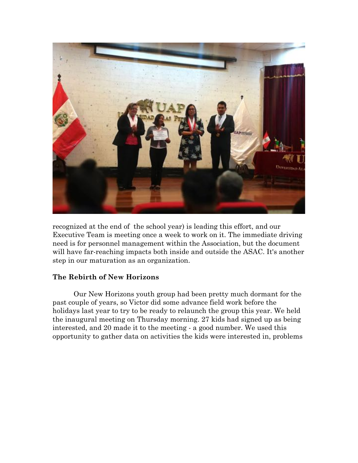

recognized at the end of the school year) is leading this effort, and our Executive Team is meeting once a week to work on it. The immediate driving need is for personnel management within the Association, but the document will have far-reaching impacts both inside and outside the ASAC. It's another step in our maturation as an organization.

## **The Rebirth of New Horizons**

Our New Horizons youth group had been pretty much dormant for the past couple of years, so Victor did some advance field work before the holidays last year to try to be ready to relaunch the group this year. We held the inaugural meeting on Thursday morning. 27 kids had signed up as being interested, and 20 made it to the meeting - a good number. We used this opportunity to gather data on activities the kids were interested in, problems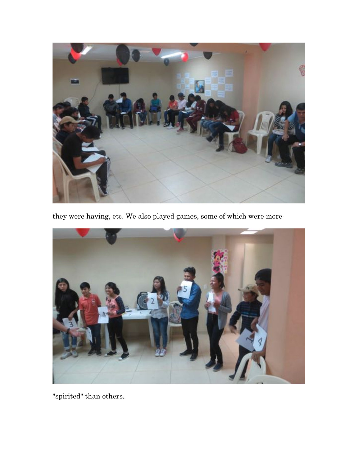

they were having, etc. We also played games, some of which were more



"spirited" than others.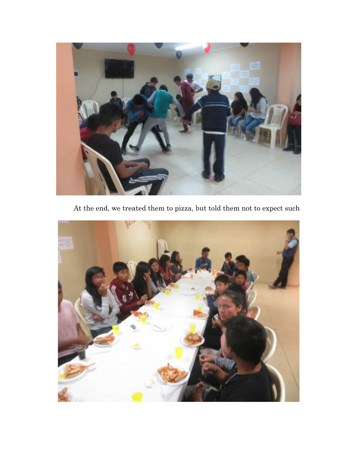

At the end, we treated them to pizza, but told them not to expect such

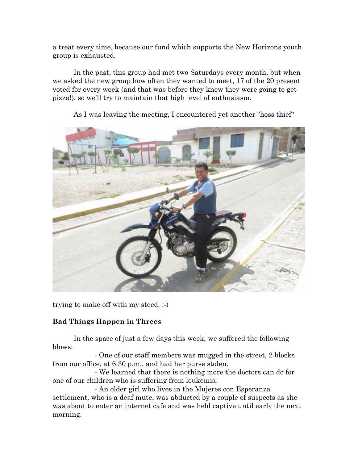a treat every time, because our fund which supports the New Horizons youth group is exhausted.

In the past, this group had met two Saturdays every month, but when we asked the new group how often they wanted to meet, 17 of the 20 present voted for every week (and that was before they knew they were going to get pizza!), so we'll try to maintain that high level of enthusiasm.



As I was leaving the meeting, I encountered yet another "hoss thief"

trying to make off with my steed. :-)

## **Bad Things Happen in Threes**

In the space of just a few days this week, we suffered the following blows:

- One of our staff members was mugged in the street, 2 blocks from our office, at 6:30 p.m., and had her purse stolen.

- We learned that there is nothing more the doctors can do for one of our children who is suffering from leukemia.

- An older girl who lives in the Mujeres con Esperanza settlement, who is a deaf mute, was abducted by a couple of suspects as she was about to enter an internet cafe and was held captive until early the next morning.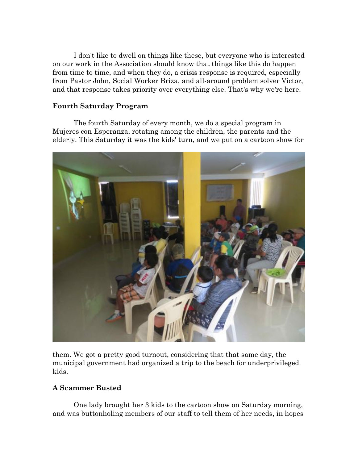I don't like to dwell on things like these, but everyone who is interested on our work in the Association should know that things like this do happen from time to time, and when they do, a crisis response is required, especially from Pastor John, Social Worker Briza, and all-around problem solver Victor, and that response takes priority over everything else. That's why we're here.

## **Fourth Saturday Program**

The fourth Saturday of every month, we do a special program in Mujeres con Esperanza, rotating among the children, the parents and the elderly. This Saturday it was the kids' turn, and we put on a cartoon show for



them. We got a pretty good turnout, considering that that same day, the municipal government had organized a trip to the beach for underprivileged kids.

## **A Scammer Busted**

One lady brought her 3 kids to the cartoon show on Saturday morning, and was buttonholing members of our staff to tell them of her needs, in hopes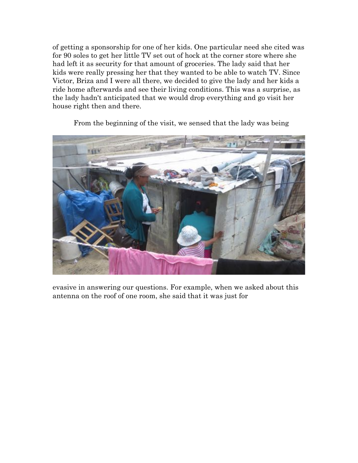of getting a sponsorship for one of her kids. One particular need she cited was for 90 soles to get her little TV set out of hock at the corner store where she had left it as security for that amount of groceries. The lady said that her kids were really pressing her that they wanted to be able to watch TV. Since Victor, Briza and I were all there, we decided to give the lady and her kids a ride home afterwards and see their living conditions. This was a surprise, as the lady hadn't anticipated that we would drop everything and go visit her house right then and there.



From the beginning of the visit, we sensed that the lady was being

evasive in answering our questions. For example, when we asked about this antenna on the roof of one room, she said that it was just for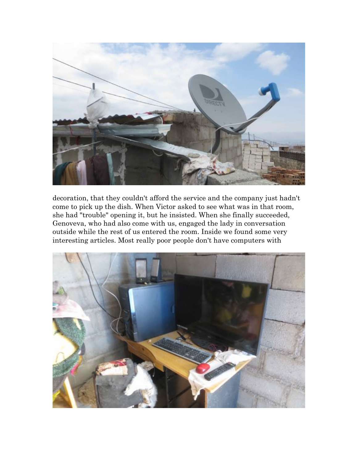

decoration, that they couldn't afford the service and the company just hadn't come to pick up the dish. When Victor asked to see what was in that room, she had "trouble" opening it, but he insisted. When she finally succeeded, Genoveva, who had also come with us, engaged the lady in conversation outside while the rest of us entered the room. Inside we found some very interesting articles. Most really poor people don't have computers with

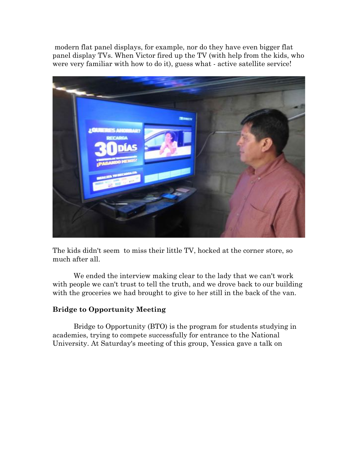modern flat panel displays, for example, nor do they have even bigger flat panel display TVs. When Victor fired up the TV (with help from the kids, who were very familiar with how to do it), guess what - active satellite service!



The kids didn't seem to miss their little TV, hocked at the corner store, so much after all.

We ended the interview making clear to the lady that we can't work with people we can't trust to tell the truth, and we drove back to our building with the groceries we had brought to give to her still in the back of the van.

## **Bridge to Opportunity Meeting**

Bridge to Opportunity (BTO) is the program for students studying in academies, trying to compete successfully for entrance to the National University. At Saturday's meeting of this group, Yessica gave a talk on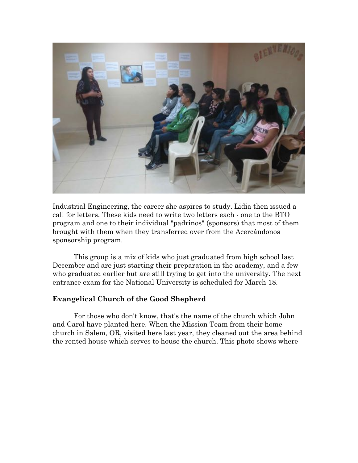

Industrial Engineering, the career she aspires to study. Lidia then issued a call for letters. These kids need to write two letters each - one to the BTO program and one to their individual "padrinos" (sponsors) that most of them brought with them when they transferred over from the Acercándonos sponsorship program.

This group is a mix of kids who just graduated from high school last December and are just starting their preparation in the academy, and a few who graduated earlier but are still trying to get into the university. The next entrance exam for the National University is scheduled for March 18.

## **Evangelical Church of the Good Shepherd**

For those who don't know, that's the name of the church which John and Carol have planted here. When the Mission Team from their home church in Salem, OR, visited here last year, they cleaned out the area behind the rented house which serves to house the church. This photo shows where